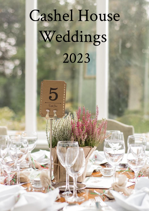# Cashel House Weddings 2023

5

 $\mathcal{C}^*$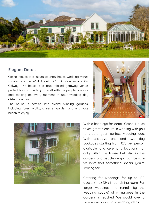

# **Elegant Details**

Cashel House is a luxury country house wedding venue situated on the Wild Atlantic Way in Connemara, Co. Galway. The house is a true relaxed getaway venue, perfect for surrounding yourself with the people you love and soaking up every moment of your wedding day distraction free.

The house is nestled into award winning gardens, including forest walks, a secret garden and a private beach to enjoy.





With a keen eye for detail, Cashel House takes great pleasure in working with you to create your perfect wedding day. With exclusive one and two day packages starting from €70 per person available, and ceremony locations not only within the house but also in the gardens and beachside you can be sure we have that something special you're looking for.

Catering for weddings for up to 100 guests (max 124) in our dining room. For larger weddings the rental (by the wedding couple) of a marquee in the gardens is required. We would love to hear more about your wedding ideas.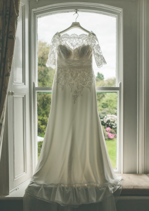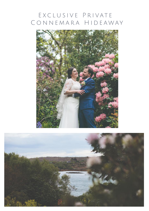# EXCLUSIVE PRIVATE CONNEMARA HIDEAWAY



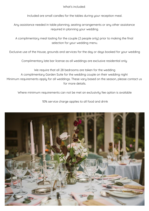What's included:

Included are small candles for the tables during your reception meal.

Any assistance needed in table planning, seating arrangements or any other assistance required in planning your wedding.

A complimentary meal tasting for the couple (2 people only) prior to making the final selection for your wedding menu.

Exclusive use of the House, grounds and services for the day or days booked for your wedding

Complimentary late bar license as all weddings are exclusive residential only

We require that all 28 bedrooms are taken for the wedding A complimentary Garden Suite for the wedding couple on their wedding night Minimum requirements apply for all weddings. These vary based on the season, please contact us for more details.

Where minimum requirements can not be met an exclusivity fee option is available

10% service charge applies to all food and drink

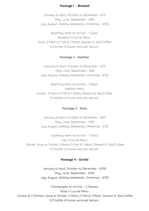#### **Package 1 - Bluebell**

January to April, October to December - €70 May, June, September - €80 July, August, Holiday Weekends, Christmas - €105

Sparkling Wine on arrival – 1 Glass Bluebell 4 Course Menu Soup, 2 Mains (1 Fish & 1 Meat), Dessert & Tea/Coffee 1/2 bottle of house wine per person

#### **Package 2 - Heather**

January to April, October to December - €76 May, June, September - €86 July, August, Holiday Weekends, Christmas - €112

Sparkling Wine on arrival – 1 Glass Heather Menu Starter, 2 Mains (1 Fish & 1 Meat), Dessert & Tea/Coffee 1/2 bottle of house wine per person

#### **Package 3 - Rose**

January to April, October to December - €80 May, June, September - €90 July, August, Holiday Weekends, Christmas - €115

Sparking Wine on arrival – 1 Glass Lily 5 Course Menu Starter, Soup or Sorbet, 2 Mains (1 Fish & 1 Meat), Dessert & Tea/Coffee 1/2 bottle of house wine per person

#### **Package 4 - Orchid**

January to April, October to December - €100 May, June, September - €110 July, August, Holiday Weekends, Christmas - €135

Champagne on arrival – 2 Glasses Rose 5 Course Menu Choice of 2 Starters, Soup or Sorbet, 2 Mains (1 Fish & 1 Meat), Dessert & Tea/Coffee 2/3 bottle of house wine per person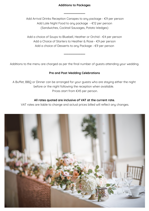## **Additions to Packages**

#### \*\*\*\*\*\*\*\*\*\*\*\*\*\*\*\*\*\*\*\*\*\*\*

Add Arrival Drinks Reception Canapes to any package - €9 per person Add Late Night Food to any package - €12 per person (Sandwiches, Cocktail Sausages, Potato Wedges)

Add a choice of Soups to Bluebell, Heather or Orchid - €4 per person Add a Choice of Starters to Heather & Rose - €9 per person Add a choice of Desserts to any Package - €9 per person

#### \*\*\*\*\*\*\*\*\*\*\*\*\*\*\*\*\*\*\*\*\*\*\*

Additions to the menu are charged as per the final number of guests attending your wedding.

# **Pre and Post Wedding Celebrations**

A Buffet, BBQ or Dinner can be arranged for your guests who are staying either the night before or the night following the reception when available. Prices start from €45 per person.

### **All rates quoted are inclusive of VAT at the current rate.**

VAT rates are liable to change and actual prices billed will reflect any changes.

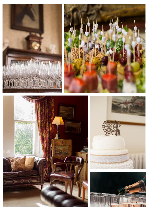







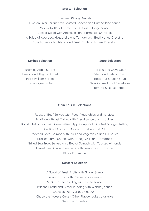#### **Starter Selection**

Steamed Killary Mussels

Chicken Liver Terrine with Toasted Brioche and Cumberland sauce Warm Tartlet of Three Cheeses with Mango sauce Caesar Salad with Anchovies and Parmesan Shavings A Salad of Avocado, Mozzarella and Tomato with Basil Honey Dressing Salad of Assorted Melon and Fresh Fruits with Lime Dressing

#### **Sorbet Selection**

#### **Soup Selection**

Bramley Apple Sorbet Lemon and Thyme Sorbet Poire William Sorbet Champagne Sorbet

Parsley and Chive Soup Celery and Celeriac Soup Butternut Squash Soup Slow Cooked Root Vegetable Tomato & Roast Pepper

#### **Main Course Selections**

Roast of Beef Served with Roast Vegetables and its juices Traditional Roast Turkey with Bread sauce and its Juices Roast Fillet of Pork with Caramelised Apples, Apricot, Pine Nut & Sage Stuffing Gratin of Cod with Bacon, Tomatoes and Dill Poached Local Salmon with Stir Fried Vegetables and Dill sauce Braised Lamb Shanks with Honey, Chilli and Tomatoes Grilled Sea Trout Served on a Bed of Spinach with Toasted Almonds Baked Sea Bass en Paupiette with Lemon and Tarragon Plaice Florentine

#### **Dessert Selection**

A Salad of Fresh Fruits with Ginger Syrup Seasonal Tart with Cream or Ice Cream Sticky Toffee Pudding with Toffee sauce Brioche Bread and Butter Pudding with Whiskey sauce Cheesecake - Various Flavour's Chocolate Mousse Cake - Other Flavour cakes available Seasonal Crumble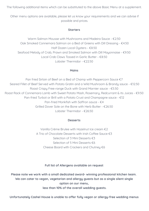The following additional items which can be substituted to the above Basic Menu at a supplement.

Other menu options are available, please let us know your requirements and we can advise if possible and prices.

#### **Starters**

Warm Salmon Mousse with Mushrooms and Madeira Sauce - €2.50 Oak Smoked Connemara Salmon on a Bed of Greens with Dill Dressing - €4.50 Half Dozen Local Ousters - €8.50 Seafood Melody of Crab, Prawn and Smoked Salmon with Dill Mayonnaise - €9.50 Local Crab Claws Tossed in Garlic Butter - €8.50 Lobster Thermidor - €22.50

#### **Mains**

Pan fried Sirloin of Beef on a Bed of Champ with Peppercorn Sauce €7 Seared Fillet of Beef Served with Potato Gratin and a Wild Mushroom & Brandy sauce - €12.50 Roast Crispy Free-range Duck with Grand Marnier sauce - €5.50 Roast Rack of Connemara Lamb with Sweet Potato Mash, Rosemary, Redcurrant & its Juices - €9.50 Pan-fried Turbot or Brill with a Potato Crust and Champagne sauce - €12 Pan-fried Monkfish with Saffron sauce - €4 Grilled Dover Sole on the Bone with Herb Butter - €26.50 Lobster Thermidor - €26.50

#### **Desserts**

Vanilla Créme Brulee with Hazelnut Ice cream €2 A Trio of Chocolate Desserts with Irish Coffee Sauce €3 Selection of 3 Mini Desserts €3 Selection of 5 Mini Desserts €6 Cheese Board with Crackers and Chutney €6

#### **Full list of Allergens available on request**

**Please note we work with a small dedicated award- winning professional kitchen team. We can cater to vegan, vegetarian and allergy guests but as a single silent single option on our menu,**

**less than 10% of the overall wedding guests.**

**Unfortunately Cashel House is unable to offer fully vegan or allergy-free wedding menus**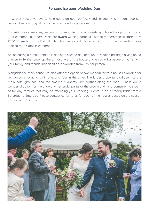# **Personalise your Wedding Day**

In Cashel House we love to help you plan your perfect wedding day, which means you can personalise your day with a range of wonderful optional extras.

For in-house ceremonies, we can accommodate up to 60 guests, you have the option of having your ceremony outdoors within our award winning gardens. The fee for ceremonies starts from €300. There is also a Catholic church a very short distance away from the house for those looking for a Catholic ceremony.

An increasingly popular option is adding a second day onto your wedding package giving you a chance to further soak up the atmosphere of the house and enjoy a barbeque or buffet with your family and friends. This addition is available from €45 per person.

Alongside the main house, we also offer the option of two modern, private houses available for rent, accommodating six in one, and four in the other. The larger property is adjacent to the main hotel grounds, and the smaller is approx 2km further along the road. These are a wonderful option for the bride and her bridal party, or the groom and his groomsmen to stay in or for any families that may be attending your wedding. Rental is on a weekly basis from a Saturday to Saturday. Please contact us for rates for each of the houses based on the season you would require them.